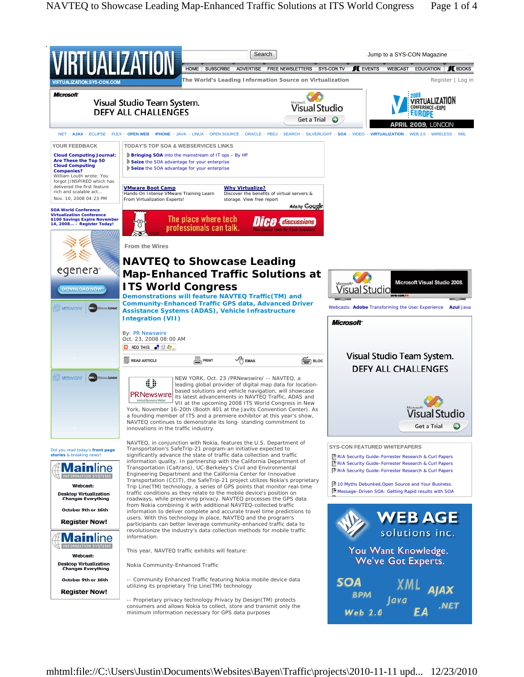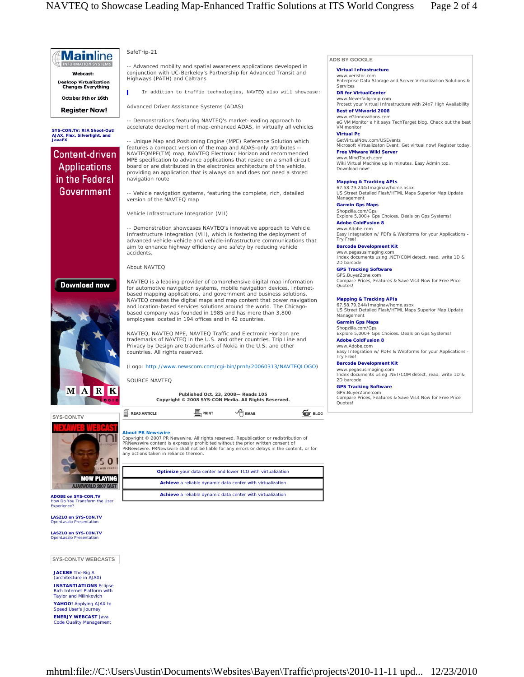

**JACKBE** The Big A (architecture in AJAX) **INSTANTIATIONS** Eclipse Rich Internet Platform with Taylor and Milinkovich **YAHOO!** Applying AJAX to Speed User's Journey **ENERJY WEBCAST** Java Code Quality Management